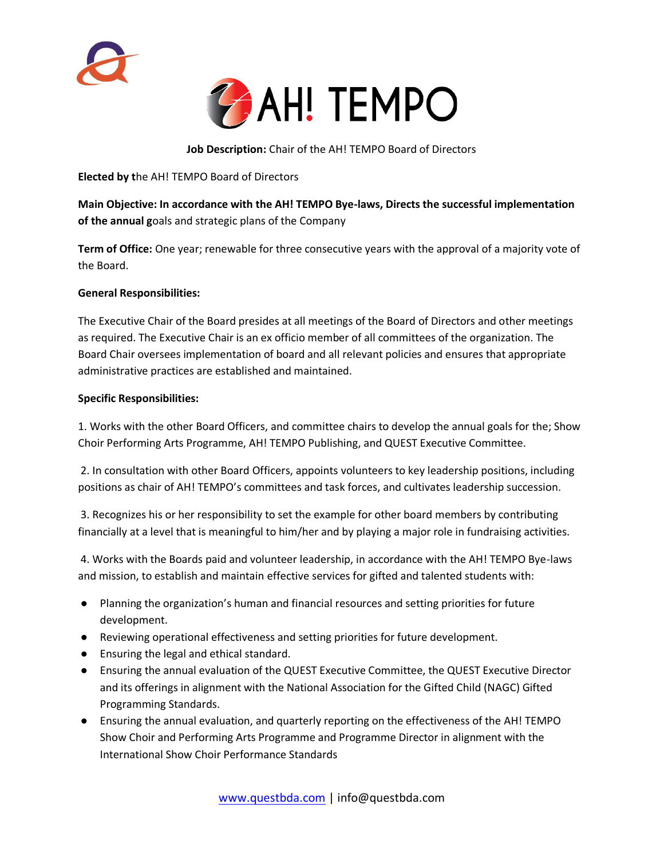



**Job Description:** Chair of the AH! TEMPO Board of Directors

**Elected by t**he AH! TEMPO Board of Directors

**Main Objective: In accordance with the AH! TEMPO Bye-laws, Directs the successful implementation of the annual g**oals and strategic plans of the Company

**Term of Office:** One year; renewable for three consecutive years with the approval of a majority vote of the Board.

## **General Responsibilities:**

The Executive Chair of the Board presides at all meetings of the Board of Directors and other meetings as required. The Executive Chair is an ex officio member of all committees of the organization. The Board Chair oversees implementation of board and all relevant policies and ensures that appropriate administrative practices are established and maintained.

## **Specific Responsibilities:**

1. Works with the other Board Officers, and committee chairs to develop the annual goals for the; Show Choir Performing Arts Programme, AH! TEMPO Publishing, and QUEST Executive Committee.

2. In consultation with other Board Officers, appoints volunteers to key leadership positions, including positions as chair of AH! TEMPO's committees and task forces, and cultivates leadership succession.

3. Recognizes his or her responsibility to set the example for other board members by contributing financially at a level that is meaningful to him/her and by playing a major role in fundraising activities.

4. Works with the Boards paid and volunteer leadership, in accordance with the AH! TEMPO Bye-laws and mission, to establish and maintain effective services for gifted and talented students with:

- Planning the organization's human and financial resources and setting priorities for future development.
- Reviewing operational effectiveness and setting priorities for future development.
- Ensuring the legal and ethical standard.
- Ensuring the annual evaluation of the QUEST Executive Committee, the QUEST Executive Director and its offerings in alignment with the National Association for the Gifted Child (NAGC) Gifted Programming Standards.
- Ensuring the annual evaluation, and quarterly reporting on the effectiveness of the AH! TEMPO Show Choir and Performing Arts Programme and Programme Director in alignment with the International Show Choir Performance Standards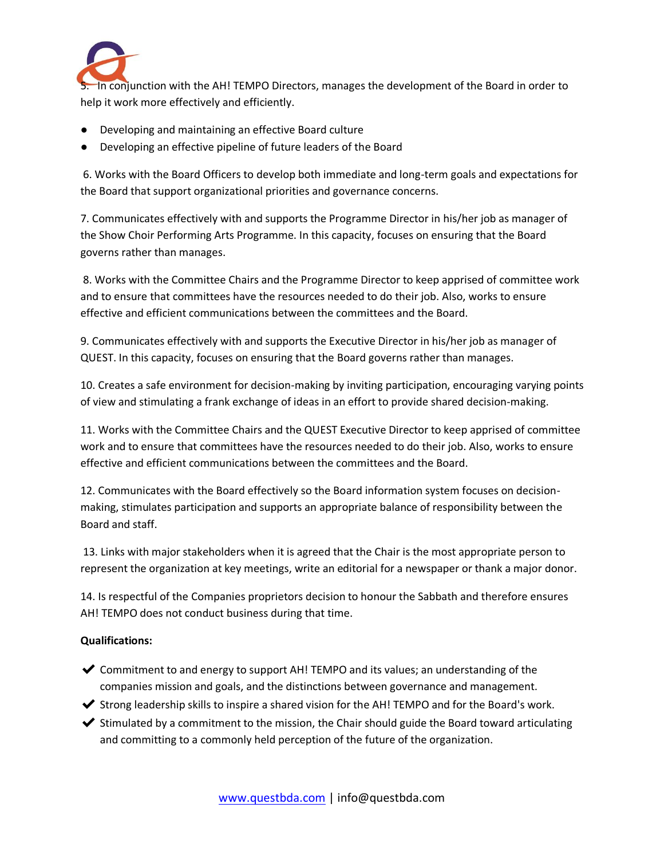

5. In conjunction with the AH! TEMPO Directors, manages the development of the Board in order to help it work more effectively and efficiently.

- Developing and maintaining an effective Board culture
- Developing an effective pipeline of future leaders of the Board

6. Works with the Board Officers to develop both immediate and long-term goals and expectations for the Board that support organizational priorities and governance concerns.

7. Communicates effectively with and supports the Programme Director in his/her job as manager of the Show Choir Performing Arts Programme. In this capacity, focuses on ensuring that the Board governs rather than manages.

8. Works with the Committee Chairs and the Programme Director to keep apprised of committee work and to ensure that committees have the resources needed to do their job. Also, works to ensure effective and efficient communications between the committees and the Board.

9. Communicates effectively with and supports the Executive Director in his/her job as manager of QUEST. In this capacity, focuses on ensuring that the Board governs rather than manages.

10. Creates a safe environment for decision-making by inviting participation, encouraging varying points of view and stimulating a frank exchange of ideas in an effort to provide shared decision-making.

11. Works with the Committee Chairs and the QUEST Executive Director to keep apprised of committee work and to ensure that committees have the resources needed to do their job. Also, works to ensure effective and efficient communications between the committees and the Board.

12. Communicates with the Board effectively so the Board information system focuses on decisionmaking, stimulates participation and supports an appropriate balance of responsibility between the Board and staff.

13. Links with major stakeholders when it is agreed that the Chair is the most appropriate person to represent the organization at key meetings, write an editorial for a newspaper or thank a major donor.

14. Is respectful of the Companies proprietors decision to honour the Sabbath and therefore ensures AH! TEMPO does not conduct business during that time.

## **Qualifications:**

- $\triangledown$  Commitment to and energy to support AH! TEMPO and its values; an understanding of the companies mission and goals, and the distinctions between governance and management.
- ✔ Strong leadership skills to inspire a shared vision for the AH! TEMPO and for the Board's work.
- $\blacktriangleright$  Stimulated by a commitment to the mission, the Chair should guide the Board toward articulating and committing to a commonly held perception of the future of the organization.